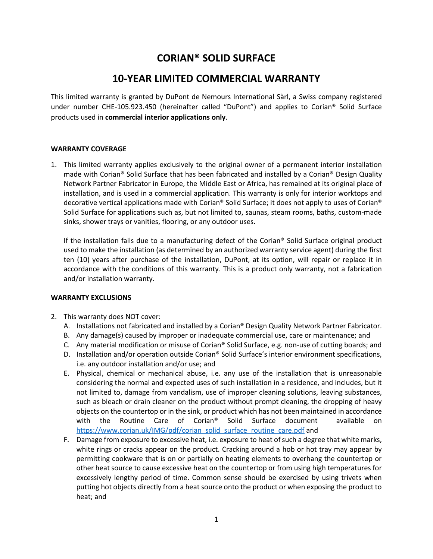# **CORIAN® SOLID SURFACE**

# **10-YEAR LIMITED COMMERCIAL WARRANTY**

This limited warranty is granted by DuPont de Nemours International Sàrl, a Swiss company registered under number CHE-105.923.450 (hereinafter called "DuPont") and applies to Corian® Solid Surface products used in **commercial interior applications only**.

# **WARRANTY COVERAGE**

1. This limited warranty applies exclusively to the original owner of a permanent interior installation made with Corian® Solid Surface that has been fabricated and installed by a Corian® Design Quality Network Partner Fabricator in Europe, the Middle East or Africa, has remained at its original place of installation, and is used in a commercial application. This warranty is only for interior worktops and decorative vertical applications made with Corian® Solid Surface; it does not apply to uses of Corian® Solid Surface for applications such as, but not limited to, saunas, steam rooms, baths, custom-made sinks, shower trays or vanities, flooring, or any outdoor uses.

If the installation fails due to a manufacturing defect of the Corian® Solid Surface original product used to make the installation (as determined by an authorized warranty service agent) during the first ten (10) years after purchase of the installation, DuPont, at its option, will repair or replace it in accordance with the conditions of this warranty. This is a product only warranty, not a fabrication and/or installation warranty.

#### **WARRANTY EXCLUSIONS**

- 2. This warranty does NOT cover:
	- A. Installations not fabricated and installed by a Corian® Design Quality Network Partner Fabricator.
	- B. Any damage(s) caused by improper or inadequate commercial use, care or maintenance; and
	- C. Any material modification or misuse of Corian® Solid Surface, e.g. non-use of cutting boards; and
	- D. Installation and/or operation outside Corian® Solid Surface's interior environment specifications, i.e. any outdoor installation and/or use; and
	- E. Physical, chemical or mechanical abuse, i.e. any use of the installation that is unreasonable considering the normal and expected uses of such installation in a residence, and includes, but it not limited to, damage from vandalism, use of improper cleaning solutions, leaving substances, such as bleach or drain cleaner on the product without prompt cleaning, the dropping of heavy objects on the countertop or in the sink, or product which has not been maintained in accordance with the Routine Care of Corian® Solid Surface document available on [https://www.corian.uk/IMG/pdf/corian\\_solid\\_surface\\_routine\\_care.pdf](https://www.corian.uk/IMG/pdf/corian_solid_surface_routine_care.pdf) and
	- F. Damage from exposure to excessive heat, i.e. exposure to heat of such a degree that white marks, white rings or cracks appear on the product. Cracking around a hob or hot tray may appear by permitting cookware that is on or partially on heating elements to overhang the countertop or other heat source to cause excessive heat on the countertop or from using high temperatures for excessively lengthy period of time. Common sense should be exercised by using trivets when putting hot objects directly from a heat source onto the product or when exposing the product to heat; and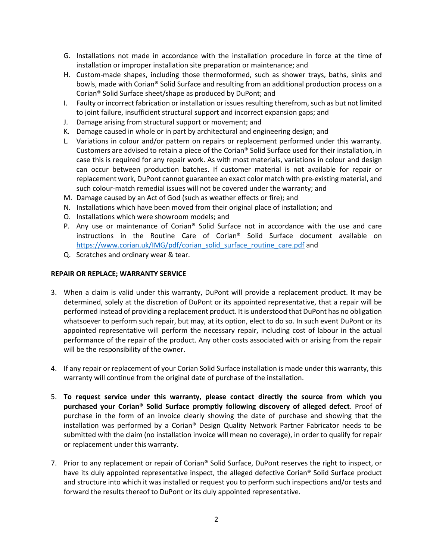- G. Installations not made in accordance with the installation procedure in force at the time of installation or improper installation site preparation or maintenance; and
- H. Custom-made shapes, including those thermoformed, such as shower trays, baths, sinks and bowls, made with Corian® Solid Surface and resulting from an additional production process on a Corian® Solid Surface sheet/shape as produced by DuPont; and
- I. Faulty or incorrect fabrication or installation or issues resulting therefrom, such as but not limited to joint failure, insufficient structural support and incorrect expansion gaps; and
- J. Damage arising from structural support or movement; and
- K. Damage caused in whole or in part by architectural and engineering design; and
- L. Variations in colour and/or pattern on repairs or replacement performed under this warranty. Customers are advised to retain a piece of the Corian® Solid Surface used for their installation, in case this is required for any repair work. As with most materials, variations in colour and design can occur between production batches. If customer material is not available for repair or replacement work, DuPont cannot guarantee an exact color match with pre-existing material, and such colour-match remedial issues will not be covered under the warranty; and
- M. Damage caused by an Act of God (such as weather effects or fire); and
- N. Installations which have been moved from their original place of installation; and
- O. Installations which were showroom models; and
- P. Any use or maintenance of Corian<sup>®</sup> Solid Surface not in accordance with the use and care instructions in the Routine Care of Corian® Solid Surface document available on [https://www.corian.uk/IMG/pdf/corian\\_solid\\_surface\\_routine\\_care.pdf](https://www.corian.uk/IMG/pdf/corian_solid_surface_routine_care.pdf) and
- Q. Scratches and ordinary wear & tear.

## **REPAIR OR REPLACE; WARRANTY SERVICE**

- 3. When a claim is valid under this warranty, DuPont will provide a replacement product. It may be determined, solely at the discretion of DuPont or its appointed representative, that a repair will be performed instead of providing a replacement product. It is understood that DuPont has no obligation whatsoever to perform such repair, but may, at its option, elect to do so. In such event DuPont or its appointed representative will perform the necessary repair, including cost of labour in the actual performance of the repair of the product. Any other costs associated with or arising from the repair will be the responsibility of the owner.
- 4. If any repair or replacement of your Corian Solid Surface installation is made under this warranty, this warranty will continue from the original date of purchase of the installation.
- 5. **To request service under this warranty, please contact directly the source from which you purchased your Corian® Solid Surface promptly following discovery of alleged defect**. Proof of purchase in the form of an invoice clearly showing the date of purchase and showing that the installation was performed by a Corian® Design Quality Network Partner Fabricator needs to be submitted with the claim (no installation invoice will mean no coverage), in order to qualify for repair or replacement under this warranty.
- 7. Prior to any replacement or repair of Corian® Solid Surface, DuPont reserves the right to inspect, or have its duly appointed representative inspect, the alleged defective Corian® Solid Surface product and structure into which it was installed or request you to perform such inspections and/or tests and forward the results thereof to DuPont or its duly appointed representative.